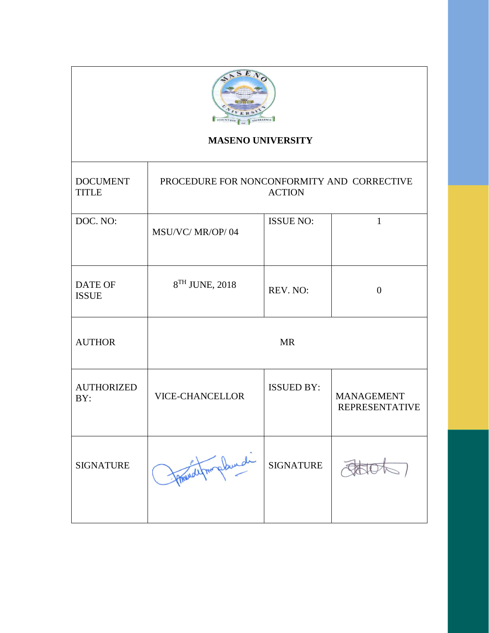

# **MASENO UNIVERSITY**

| <b>DOCUMENT</b><br><b>TITLE</b> | PROCEDURE FOR NONCONFORMITY AND CORRECTIVE<br><b>ACTION</b> |                   |                                            |  |
|---------------------------------|-------------------------------------------------------------|-------------------|--------------------------------------------|--|
| DOC. NO:                        | MSU/VC/MR/OP/04                                             | <b>ISSUE NO:</b>  | 1                                          |  |
| <b>DATE OF</b><br><b>ISSUE</b>  | 8TH JUNE, 2018                                              | REV. NO:          | $\overline{0}$                             |  |
| <b>AUTHOR</b>                   |                                                             | <b>MR</b>         |                                            |  |
| <b>AUTHORIZED</b><br>BY:        | <b>VICE-CHANCELLOR</b>                                      | <b>ISSUED BY:</b> | <b>MANAGEMENT</b><br><b>REPRESENTATIVE</b> |  |
| <b>SIGNATURE</b>                | phurch                                                      | <b>SIGNATURE</b>  |                                            |  |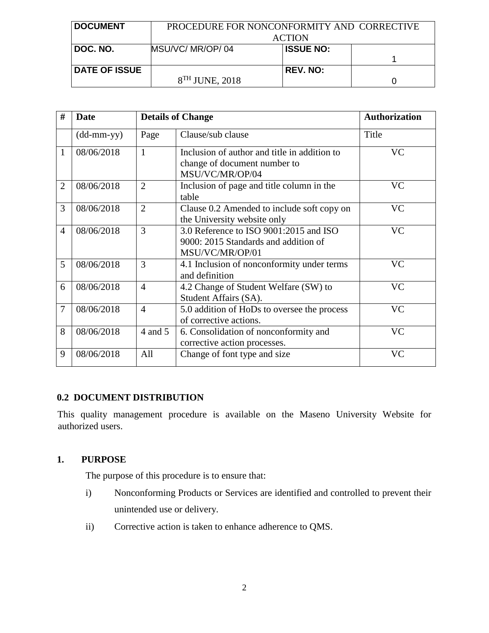| <b>DOCUMENT</b>      | PROCEDURE FOR NONCONFORMITY AND CORRECTIVE |                  |  |
|----------------------|--------------------------------------------|------------------|--|
|                      | <b>ACTION</b>                              |                  |  |
| DOC. NO.             | MSU/VC/ MR/OP/04                           | <b>ISSUE NO:</b> |  |
|                      |                                            |                  |  |
| <b>DATE OF ISSUE</b> |                                            | <b>REV. NO:</b>  |  |
|                      | $8TH$ JUNE, 2018                           |                  |  |

| #              | Date                       | <b>Details of Change</b> |                                                                                                   | <b>Authorization</b> |
|----------------|----------------------------|--------------------------|---------------------------------------------------------------------------------------------------|----------------------|
|                | $(dd\text{-}mm\text{-}yy)$ | Page                     | Clause/sub clause                                                                                 | Title                |
| 1              | 08/06/2018                 | 1                        | Inclusion of author and title in addition to<br>change of document number to<br>MSU/VC/MR/OP/04   | <b>VC</b>            |
| $\overline{2}$ | 08/06/2018                 | $\overline{2}$           | Inclusion of page and title column in the<br>table                                                | <b>VC</b>            |
| 3              | 08/06/2018                 | $\overline{2}$           | Clause 0.2 Amended to include soft copy on<br>the University website only                         | <b>VC</b>            |
| 4              | 08/06/2018                 | 3                        | 3.0 Reference to ISO 9001:2015 and ISO<br>9000: 2015 Standards and addition of<br>MSU/VC/MR/OP/01 | <b>VC</b>            |
| 5              | 08/06/2018                 | 3                        | 4.1 Inclusion of nonconformity under terms<br>and definition                                      | <b>VC</b>            |
| 6              | 08/06/2018                 | $\overline{4}$           | 4.2 Change of Student Welfare (SW) to<br>Student Affairs (SA).                                    | <b>VC</b>            |
| $\overline{7}$ | 08/06/2018                 | $\overline{4}$           | 5.0 addition of HoDs to oversee the process<br>of corrective actions.                             | <b>VC</b>            |
| 8              | 08/06/2018                 | 4 and 5                  | 6. Consolidation of nonconformity and<br>corrective action processes.                             | <b>VC</b>            |
| 9              | 08/06/2018                 | All                      | Change of font type and size                                                                      | <b>VC</b>            |

## **0.2 DOCUMENT DISTRIBUTION**

This quality management procedure is available on the Maseno University Website for authorized users.

## **1. PURPOSE**

The purpose of this procedure is to ensure that:

- i) Nonconforming Products or Services are identified and controlled to prevent their unintended use or delivery.
- ii) Corrective action is taken to enhance adherence to QMS.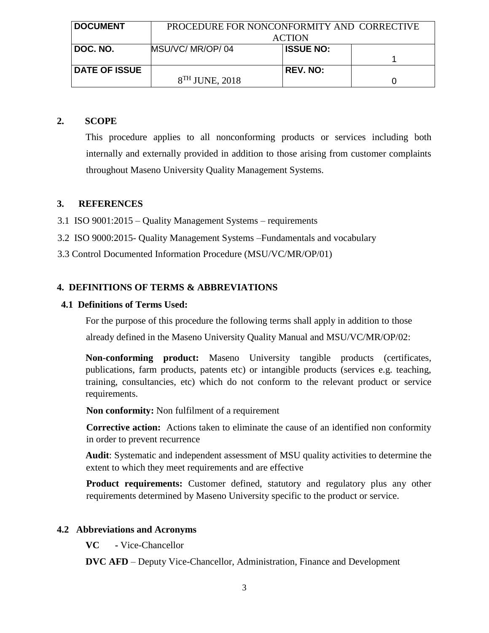| <b>DOCUMENT</b>      | PROCEDURE FOR NONCONFORMITY AND CORRECTIVE |                  |  |
|----------------------|--------------------------------------------|------------------|--|
|                      | <b>ACTION</b>                              |                  |  |
| DOC. NO.             | MSU/VC/MR/OP/04                            | <b>ISSUE NO:</b> |  |
|                      |                                            |                  |  |
| <b>DATE OF ISSUE</b> |                                            | <b>REV. NO:</b>  |  |
|                      | $8TH$ JUNE, 2018                           |                  |  |

### **2. SCOPE**

This procedure applies to all nonconforming products or services including both internally and externally provided in addition to those arising from customer complaints throughout Maseno University Quality Management Systems.

## **3. REFERENCES**

- 3.1 ISO 9001:2015 Quality Management Systems requirements
- 3.2 ISO 9000:2015- Quality Management Systems –Fundamentals and vocabulary
- 3.3 Control Documented Information Procedure (MSU/VC/MR/OP/01)

## **4. DEFINITIONS OF TERMS & ABBREVIATIONS**

#### **4.1 Definitions of Terms Used:**

For the purpose of this procedure the following terms shall apply in addition to those

already defined in the Maseno University Quality Manual and MSU/VC/MR/OP/02:

**Non-conforming product:** Maseno University tangible products (certificates, publications, farm products, patents etc) or intangible products (services e.g. teaching, training, consultancies, etc) which do not conform to the relevant product or service requirements.

**Non conformity:** Non fulfilment of a requirement

**Corrective action:** Actions taken to eliminate the cause of an identified non conformity in order to prevent recurrence

**Audit**: Systematic and independent assessment of MSU quality activities to determine the extent to which they meet requirements and are effective

**Product requirements:** Customer defined, statutory and regulatory plus any other requirements determined by Maseno University specific to the product or service.

#### **4.2 Abbreviations and Acronyms**

**VC -** Vice-Chancellor

**DVC AFD** – Deputy Vice-Chancellor, Administration, Finance and Development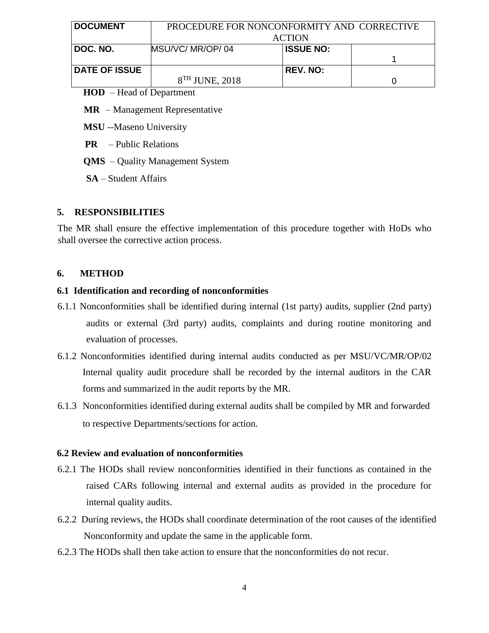| <b>DOCUMENT</b>      | PROCEDURE FOR NONCONFORMITY AND CORRECTIVE |                  |  |
|----------------------|--------------------------------------------|------------------|--|
|                      | <b>ACTION</b>                              |                  |  |
| DOC. NO.             | MSU/VC/MR/OP/04                            | <b>ISSUE NO:</b> |  |
|                      |                                            |                  |  |
| <b>DATE OF ISSUE</b> |                                            | <b>REV. NO:</b>  |  |
|                      | $8TH$ JUNE, 2018                           |                  |  |

#### **HOD** – Head of Department

**MR** – Management Representative

**MSU** --Maseno University

**PR** – Public Relations

**QMS** – Quality Management System

**SA** – Student Affairs

#### **5. RESPONSIBILITIES**

The MR shall ensure the effective implementation of this procedure together with HoDs who shall oversee the corrective action process.

#### **6. METHOD**

#### **6.1 Identification and recording of nonconformities**

- 6.1.1 Nonconformities shall be identified during internal (1st party) audits, supplier (2nd party) audits or external (3rd party) audits, complaints and during routine monitoring and evaluation of processes.
- 6.1.2 Nonconformities identified during internal audits conducted as per MSU/VC/MR/OP/02 Internal quality audit procedure shall be recorded by the internal auditors in the CAR forms and summarized in the audit reports by the MR.
- 6.1.3 Nonconformities identified during external audits shall be compiled by MR and forwarded to respective Departments/sections for action.

#### **6.2 Review and evaluation of nonconformities**

- 6.2.1 The HODs shall review nonconformities identified in their functions as contained in the raised CARs following internal and external audits as provided in the procedure for internal quality audits.
- 6.2.2During reviews, the HODs shall coordinate determination of the root causes of the identified Nonconformity and update the same in the applicable form.
- 6.2.3 The HODs shall then take action to ensure that the nonconformities do not recur.